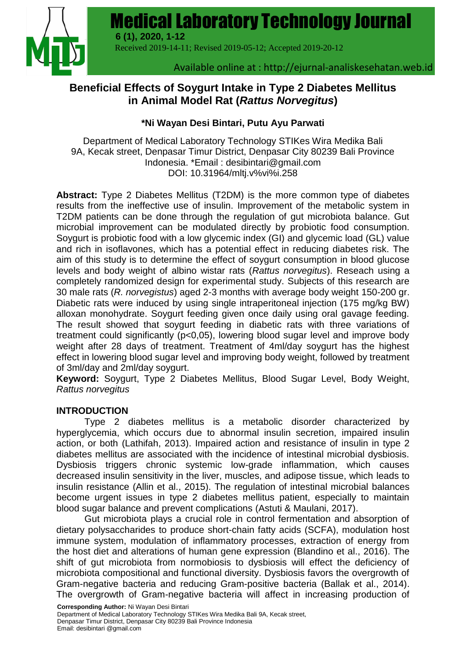Medical Laboratory Technology Journal



Received 2019-14-11; Revised 2019-05-12; Accepted 2019-20-12

**6 (1), 2020, 1-12**

Available online at : http://ejurnal-analiskesehatan.web.id

**Medical Laboratory Technology Journal** | **1**

# **Beneficial Effects of Soygurt Intake in Type 2 Diabetes Mellitus in Animal Model Rat (***Rattus Norvegitus***)**

### **\*Ni Wayan Desi Bintari, Putu Ayu Parwati**

Department of Medical Laboratory Technology STIKes Wira Medika Bali 9A, Kecak street, Denpasar Timur District, Denpasar City 80239 Bali Province Indonesia. \*Email : [desibintari@gmail.com](mailto:desibintari@gmail.com) DOI: 10.31964/mltj.v%vi%i.258

**Abstract:** Type 2 Diabetes Mellitus (T2DM) is the more common type of diabetes results from the ineffective use of insulin. Improvement of the metabolic system in T2DM patients can be done through the regulation of gut microbiota balance. Gut microbial improvement can be modulated directly by probiotic food consumption. Soygurt is probiotic food with a low glycemic index (GI) and glycemic load (GL) value and rich in isoflavones, which has a potential effect in reducing diabetes risk. The aim of this study is to determine the effect of soygurt consumption in blood glucose levels and body weight of albino wistar rats (*Rattus norvegitus*). Reseach using a completely randomized design for experimental study. Subjects of this research are 30 male rats (*R. norvegistus*) aged 2-3 months with average body weight 150-200 gr. Diabetic rats were induced by using single intraperitoneal injection (175 mg/kg BW) alloxan monohydrate. Soygurt feeding given once daily using oral gavage feeding. The result showed that soygurt feeding in diabetic rats with three variations of treatment could significantly (p<0,05), lowering blood sugar level and improve body weight after 28 days of treatment. Treatment of 4ml/day soygurt has the highest effect in lowering blood sugar level and improving body weight, followed by treatment of 3ml/day and 2ml/day soygurt.

**Keyword:** Soygurt, Type 2 Diabetes Mellitus, Blood Sugar Level, Body Weight, *Rattus norvegitus*

### **INTRODUCTION**

Type 2 diabetes mellitus is a metabolic disorder characterized by hyperglycemia, which occurs due to abnormal insulin secretion, impaired insulin action, or both (Lathifah, 2013). Impaired action and resistance of insulin in type 2 diabetes mellitus are associated with the incidence of intestinal microbial dysbiosis. Dysbiosis triggers chronic systemic low-grade inflammation, which causes decreased insulin sensitivity in the liver, muscles, and adipose tissue, which leads to insulin resistance (Allin et al., 2015). The regulation of intestinal microbial balances become urgent issues in type 2 diabetes mellitus patient, especially to maintain blood sugar balance and prevent complications (Astuti & Maulani, 2017).

Gut microbiota plays a crucial role in control fermentation and absorption of dietary polysaccharides to produce short-chain fatty acids (SCFA), modulation host immune system, modulation of inflammatory processes, extraction of energy from the host diet and alterations of human gene expression (Blandino et al., 2016). The shift of gut microbiota from normobiosis to dysbiosis will effect the deficiency of microbiota compositional and functional diversity. Dysbiosis favors the overgrowth of Gram-negative bacteria and reducing Gram-positive bacteria (Ballak et al., 2014). The overgrowth of Gram-negative bacteria will affect in increasing production of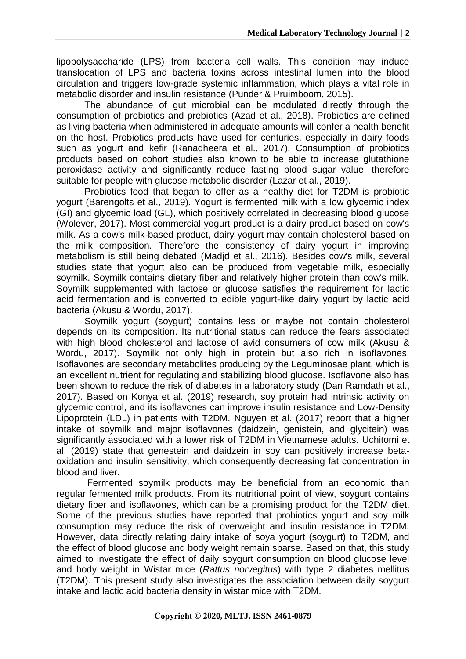lipopolysaccharide (LPS) from bacteria cell walls. This condition may induce translocation of LPS and bacteria toxins across intestinal lumen into the blood circulation and triggers low-grade systemic inflammation, which plays a vital role in metabolic disorder and insulin resistance (Punder & Pruimboom, 2015).

The abundance of gut microbial can be modulated directly through the consumption of probiotics and prebiotics (Azad et al., 2018). Probiotics are defined as living bacteria when administered in adequate amounts will confer a health benefit on the host. Probiotics products have used for centuries, especially in dairy foods such as yogurt and kefir (Ranadheera et al., 2017). Consumption of probiotics products based on cohort studies also known to be able to increase glutathione peroxidase activity and significantly reduce fasting blood sugar value, therefore suitable for people with glucose metabolic disorder (Lazar et al., 2019).

Probiotics food that began to offer as a healthy diet for T2DM is probiotic yogurt (Barengolts et al., 2019). Yogurt is fermented milk with a low glycemic index (GI) and glycemic load (GL), which positively correlated in decreasing blood glucose (Wolever, 2017). Most commercial yogurt product is a dairy product based on cow's milk. As a cow's milk-based product, dairy yogurt may contain cholesterol based on the milk composition. Therefore the consistency of dairy yogurt in improving metabolism is still being debated (Madjd et al., 2016). Besides cow's milk, several studies state that yogurt also can be produced from vegetable milk, especially soymilk. Soymilk contains dietary fiber and relatively higher protein than cow's milk. Soymilk supplemented with lactose or glucose satisfies the requirement for lactic acid fermentation and is converted to edible yogurt-like dairy yogurt by lactic acid bacteria (Akusu & Wordu, 2017).

Soymilk yogurt (soygurt) contains less or maybe not contain cholesterol depends on its composition. Its nutritional status can reduce the fears associated with high blood cholesterol and lactose of avid consumers of cow milk (Akusu & Wordu, 2017). Soymilk not only high in protein but also rich in isoflavones. Isoflavones are secondary metabolites producing by the Leguminosae plant, which is an excellent nutrient for regulating and stabilizing blood glucose. Isoflavone also has been shown to reduce the risk of diabetes in a laboratory study (Dan Ramdath et al., 2017). Based on Konya et al. (2019) research, soy protein had intrinsic activity on glycemic control, and its isoflavones can improve insulin resistance and Low-Density Lipoprotein (LDL) in patients with T2DM. Nguyen et al. (2017) report that a higher intake of soymilk and major isoflavones (daidzein, genistein, and glycitein) was significantly associated with a lower risk of T2DM in Vietnamese adults. Uchitomi et al. (2019) state that genestein and daidzein in soy can positively increase betaoxidation and insulin sensitivity, which consequently decreasing fat concentration in blood and liver.

Fermented soymilk products may be beneficial from an economic than regular fermented milk products. From its nutritional point of view, soygurt contains dietary fiber and isoflavones, which can be a promising product for the T2DM diet. Some of the previous studies have reported that probiotics yogurt and soy milk consumption may reduce the risk of overweight and insulin resistance in T2DM. However, data directly relating dairy intake of soya yogurt (soygurt) to T2DM, and the effect of blood glucose and body weight remain sparse. Based on that, this study aimed to investigate the effect of daily soygurt consumption on blood glucose level and body weight in Wistar mice (*Rattus norvegitus*) with type 2 diabetes mellitus (T2DM). This present study also investigates the association between daily soygurt intake and lactic acid bacteria density in wistar mice with T2DM.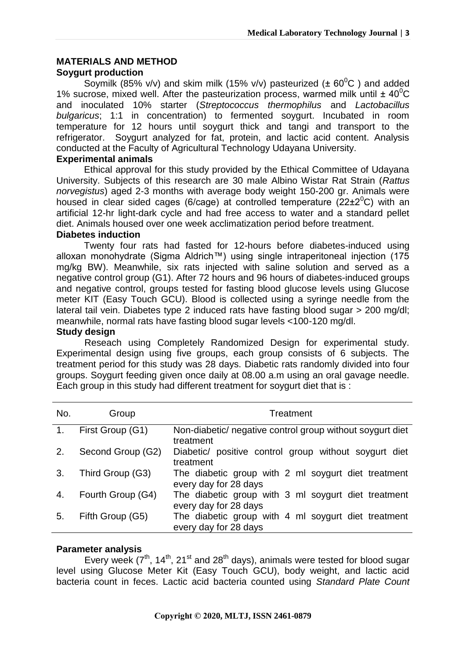### **MATERIALS AND METHOD**

### **Soygurt production**

Soymilk (85% v/v) and skim milk (15% v/v) pasteurized ( $\pm 60^{\circ}$ C) and added 1% sucrose, mixed well. After the pasteurization process, warmed milk until  $\pm$  40<sup>o</sup>C and inoculated 10% starter (*Streptococcus thermophilus* and *Lactobacillus bulgaricus*; 1:1 in concentration) to fermented soygurt. Incubated in room temperature for 12 hours until soygurt thick and tangi and transport to the refrigerator. Soygurt analyzed for fat, protein, and lactic acid content. Analysis conducted at the Faculty of Agricultural Technology Udayana University.

#### **Experimental animals**

Ethical approval for this study provided by the Ethical Committee of Udayana University. Subjects of this research are 30 male Albino Wistar Rat Strain (*Rattus norvegistus*) aged 2-3 months with average body weight 150-200 gr. Animals were housed in clear sided cages (6/cage) at controlled temperature (22 $\pm$ 2<sup>0</sup>C) with an artificial 12-hr light-dark cycle and had free access to water and a standard pellet diet. Animals housed over one week acclimatization period before treatment.

#### **Diabetes induction**

Twenty four rats had fasted for 12-hours before diabetes-induced using alloxan monohydrate (Sigma Aldrich™) using single intraperitoneal injection (175 mg/kg BW). Meanwhile, six rats injected with saline solution and served as a negative control group (G1). After 72 hours and 96 hours of diabetes-induced groups and negative control, groups tested for fasting blood glucose levels using Glucose meter KIT (Easy Touch GCU). Blood is collected using a syringe needle from the lateral tail vein. Diabetes type 2 induced rats have fasting blood sugar > 200 mg/dl; meanwhile, normal rats have fasting blood sugar levels <100-120 mg/dl.

#### **Study design**

Reseach using Completely Randomized Design for experimental study. Experimental design using five groups, each group consists of 6 subjects. The treatment period for this study was 28 days. Diabetic rats randomly divided into four groups. Soygurt feeding given once daily at 08.00 a.m using an oral gavage needle. Each group in this study had different treatment for soygurt diet that is :

| No.            | Group             | Treatment                                                                    |  |  |  |
|----------------|-------------------|------------------------------------------------------------------------------|--|--|--|
| $\mathbf{1}$ . | First Group (G1)  | Non-diabetic/ negative control group without soygurt diet<br>treatment       |  |  |  |
| 2.             | Second Group (G2) | Diabetic/ positive control group without soygurt diet<br>treatment           |  |  |  |
| 3.             | Third Group (G3)  | The diabetic group with 2 ml soygurt diet treatment<br>every day for 28 days |  |  |  |
| 4.             | Fourth Group (G4) | The diabetic group with 3 ml soygurt diet treatment<br>every day for 28 days |  |  |  |
| 5.             | Fifth Group (G5)  | The diabetic group with 4 ml soygurt diet treatment<br>every day for 28 days |  |  |  |

### **Parameter analysis**

Every week ( $7<sup>th</sup>$ , 14<sup>th</sup>, 21<sup>st</sup> and 28<sup>th</sup> days), animals were tested for blood sugar level using Glucose Meter Kit (Easy Touch GCU), body weight, and lactic acid bacteria count in feces. Lactic acid bacteria counted using *Standard Plate Count*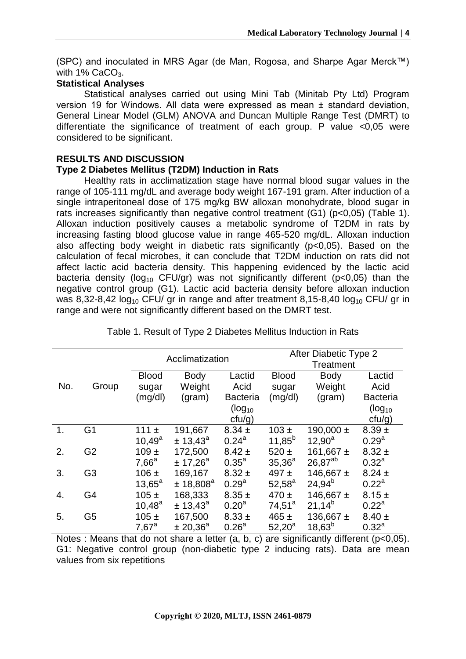(SPC) and inoculated in MRS Agar (de Man, Rogosa, and Sharpe Agar Merck™) with  $1\%$  CaCO<sub>3</sub>.

### **Statistical Analyses**

Statistical analyses carried out using Mini Tab (Minitab Pty Ltd) Program version 19 for Windows. All data were expressed as mean ± standard deviation, General Linear Model (GLM) ANOVA and Duncan Multiple Range Test (DMRT) to differentiate the significance of treatment of each group. P value <0,05 were considered to be significant.

### **RESULTS AND DISCUSSION**

### **Type 2 Diabetes Mellitus (T2DM) Induction in Rats**

Healthy rats in acclimatization stage have normal blood sugar values in the range of 105-111 mg/dL and average body weight 167-191 gram. After induction of a single intraperitoneal dose of 175 mg/kg BW alloxan monohydrate, blood sugar in rats increases significantly than negative control treatment (G1) (p<0,05) (Table 1). Alloxan induction positively causes a metabolic syndrome of T2DM in rats by increasing fasting blood glucose value in range 465-520 mg/dL. Alloxan induction also affecting body weight in diabetic rats significantly (p<0,05). Based on the calculation of fecal microbes, it can conclude that T2DM induction on rats did not affect lactic acid bacteria density. This happening evidenced by the lactic acid bacteria density ( $log_{10}$  CFU/gr) was not significantly different ( $p<0,05$ ) than the negative control group (G1). Lactic acid bacteria density before alloxan induction was 8,32-8,42  $log_{10}$  CFU/ gr in range and after treatment 8,15-8,40  $log_{10}$  CFU/ gr in range and were not significantly different based on the DMRT test.

|     |                |                 | Acclimatization       |                   |              | After Diabetic Type 2 |                   |
|-----|----------------|-----------------|-----------------------|-------------------|--------------|-----------------------|-------------------|
|     |                |                 |                       |                   |              | Treatment             |                   |
|     |                | <b>Blood</b>    | <b>Body</b>           | Lactid            | <b>Blood</b> | <b>Body</b>           | Lactid            |
| No. | Group          | sugar           | Weight                | Acid              | sugar        | Weight                | Acid              |
|     |                | (mg/dl)         | (gram)                | <b>Bacteria</b>   | (mg/dl)      | (gram)                | <b>Bacteria</b>   |
|     |                |                 |                       | $(log_{10}$       |              |                       | $(log_{10}$       |
|     |                |                 |                       | ctu/g)            |              |                       | $ctu/g$ )         |
| 1.  | G <sub>1</sub> | $111 \pm$       | 191,667               | $8.34 \pm$        | $103 \pm$    | 190,000 $\pm$         | $8.39 \pm$        |
|     |                | $10,49^a$       | ± 13,43 <sup>a</sup>  | $0.24^{a}$        | $11,85^{b}$  | $12.90^a$             | 0.29 <sup>a</sup> |
| 2.  | G <sub>2</sub> | $109 +$         | 172,500               | $8.42 \pm$        | $520 \pm$    | 161,667 ±             | $8.32 \pm$        |
|     |                | $7,66^a$        | ± 17.26 <sup>a</sup>  | $0.35^{\text{a}}$ | $35,36^{a}$  | $26.87^{ab}$          | $0.32^{a}$        |
| 3.  | G <sub>3</sub> | $106 \pm$       | 169,167               | $8.32 \pm$        | 497 $\pm$    | 146,667 ±             | $8.24 \pm$        |
|     |                | $13,65^{\circ}$ | ± 18,808 <sup>a</sup> | 0.29 <sup>a</sup> | $52,58^a$    | $24,94^{b}$           | $0.22^a$          |
| 4.  | G4             | $105 \pm$       | 168,333               | $8.35 \pm$        | $470 \pm$    | 146,667 $\pm$         | $8.15 \pm$        |
|     |                | $10,48^{\rm a}$ | ± 13,43 <sup>a</sup>  | 0.20 <sup>a</sup> | $74,51^a$    | $21,14^{b}$           | $0.22^a$          |
| 5.  | G <sub>5</sub> | 105±            | 167,500               | $8.33 \pm$        | $465 \pm$    | 136,667 $\pm$         | $8.40 \pm$        |
|     |                | $7,67^a$        | ± 20.36 <sup>a</sup>  | 0.26 <sup>a</sup> | $52,20^a$    | $18,63^{b}$           | $0.32^{a}$        |

Table 1. Result of Type 2 Diabetes Mellitus Induction in Rats

Notes : Means that do not share a letter  $(a, b, c)$  are significantly different  $(p<0.05)$ . G1: Negative control group (non-diabetic type 2 inducing rats). Data are mean values from six repetitions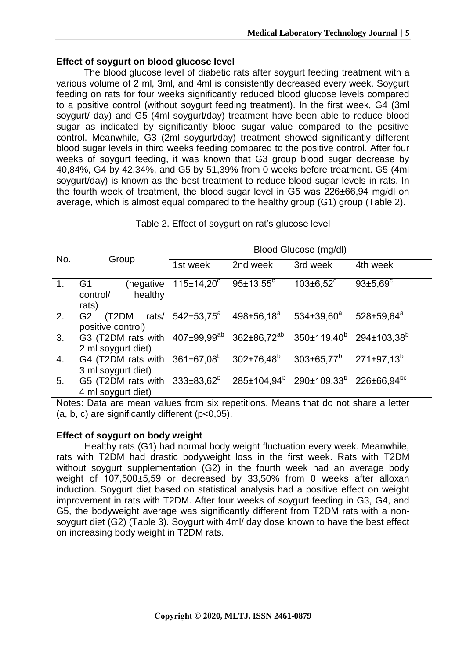### **Effect of soygurt on blood glucose level**

The blood glucose level of diabetic rats after soygurt feeding treatment with a various volume of 2 ml, 3ml, and 4ml is consistently decreased every week. Soygurt feeding on rats for four weeks significantly reduced blood glucose levels compared to a positive control (without soygurt feeding treatment). In the first week, G4 (3ml soygurt/ day) and G5 (4ml soygurt/day) treatment have been able to reduce blood sugar as indicated by significantly blood sugar value compared to the positive control. Meanwhile, G3 (2ml soygurt/day) treatment showed significantly different blood sugar levels in third weeks feeding compared to the positive control. After four weeks of soygurt feeding, it was known that G3 group blood sugar decrease by 40,84%, G4 by 42,34%, and G5 by 51,39% from 0 weeks before treatment. G5 (4ml soygurt/day) is known as the best treatment to reduce blood sugar levels in rats. In the fourth week of treatment, the blood sugar level in G5 was 226±66,94 mg/dl on average, which is almost equal compared to the healthy group (G1) group (Table 2).

| Table 2. Effect of soygurt on rat's glucose level |  |  |  |
|---------------------------------------------------|--|--|--|
|---------------------------------------------------|--|--|--|

|                |                                                                                                                                          | Blood Glucose (mg/dl)         |                        |                             |                       |  |
|----------------|------------------------------------------------------------------------------------------------------------------------------------------|-------------------------------|------------------------|-----------------------------|-----------------------|--|
| No.            | Group                                                                                                                                    | 1st week                      | 2nd week               | 3rd week                    | 4th week              |  |
| $\mathbf{1}$ . | G1<br>control/<br>healthy<br>rats)                                                                                                       | (negative $115\pm14.20^\circ$ | $95 \pm 13,55^{\circ}$ | $103 \pm 6.52$ <sup>c</sup> | $93{\pm}5.69^{\circ}$ |  |
| 2.             | $(T2DM \; \; \; \text{rats/} \; \; 542 \pm 53.75^a \; \; 498 \pm 56.18^a$<br>G <sub>2</sub><br>positive control)                         |                               |                        | $534{\pm}39.60^{\rm a}$     | $528 \pm 59.64^a$     |  |
| 3.             | G3 (T2DM rats with 407±99,99 <sup>ab</sup> 362±86,72 <sup>ab</sup> 350±119,40 <sup>b</sup> 294±103,38 <sup>b</sup><br>2 ml soygurt diet) |                               |                        |                             |                       |  |
| 4.             | G4 (T2DM rats with $361\pm67.08^b$ $302\pm76.48^b$ $303\pm65.77^b$ 271 $\pm97.13^b$<br>3 ml soygurt diet)                                |                               |                        |                             |                       |  |
| 5.             | G5 (T2DM rats with 333±83,62 <sup>b</sup> 285±104,94 <sup>b</sup> 290±109,33 <sup>b</sup> 226±66,94 <sup>bc</sup><br>4 ml soygurt diet)  |                               |                        |                             |                       |  |

Notes: Data are mean values from six repetitions. Means that do not share a letter  $(a, b, c)$  are significantly different  $(p<0.05)$ .

# **Effect of soygurt on body weight**

Healthy rats (G1) had normal body weight fluctuation every week. Meanwhile, rats with T2DM had drastic bodyweight loss in the first week. Rats with T2DM without soygurt supplementation (G2) in the fourth week had an average body weight of 107,500±5,59 or decreased by 33,50% from 0 weeks after alloxan induction. Soygurt diet based on statistical analysis had a positive effect on weight improvement in rats with T2DM. After four weeks of soygurt feeding in G3, G4, and G5, the bodyweight average was significantly different from T2DM rats with a nonsoygurt diet (G2) (Table 3). Soygurt with 4ml/ day dose known to have the best effect on increasing body weight in T2DM rats.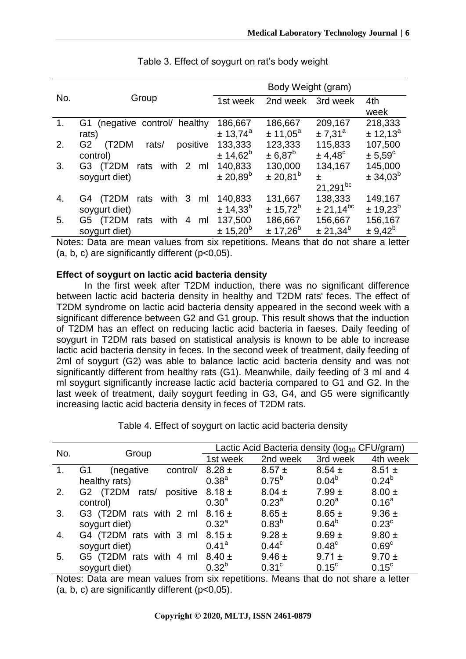|     |                                              | Body Weight (gram)   |                      |                     |                      |
|-----|----------------------------------------------|----------------------|----------------------|---------------------|----------------------|
| No. | Group                                        | 1st week             | 2nd week             | 3rd week            | 4th                  |
|     |                                              |                      |                      |                     | week                 |
| 1.  | (negative control/ healthy<br>G1             | 186,667              | 186,667              | 209,167             | 218,333              |
|     | rats)                                        | ± 13,74 <sup>a</sup> | ± 11,05 <sup>a</sup> | ± 7.31 <sup>a</sup> | ± 12,13 <sup>a</sup> |
| 2.  | G <sub>2</sub><br>(T2DM<br>positive<br>rats/ | 133,333              | 123,333              | 115,833             | 107,500              |
|     | control)                                     | $± 14,62^b$          | $± 6,87^b$           | $± 4,48^{\circ}$    | $\pm 5.59^{\circ}$   |
| 3.  | G3<br>(T2DM<br>with<br>2<br>rats<br>ml       | 140,833              | 130,000              | 134,167             | 145,000              |
|     | soygurt diet)                                | ± 20,89 <sup>b</sup> | $\pm 20.81^{\circ}$  | 士                   | $± 34,03^b$          |
|     |                                              |                      |                      | $21,291^{bc}$       |                      |
| 4.  | (T2DM<br>with<br>3<br>rats<br>G4<br>ml       | 140,833              | 131,667              | 138,333             | 149,167              |
|     | soygurt diet)                                | ± 14.33 <sup>b</sup> | $± 15,72^b$          | $± 21,14^{bc}$      | ± 19,23 <sup>b</sup> |
| 5.  | (T2DM<br>4<br>with<br>G5 I<br>rats<br>ml     | 137,500              | 186,667              | 156,667             | 156,167              |
|     | soygurt diet)                                | ± 15,20 <sup>b</sup> | $± 17,26^b$          | $± 21,34^b$         | $± 9,42^b$           |

Table 3. Effect of soygurt on rat's body weight

Notes: Data are mean values from six repetitions. Means that do not share a letter (a, b, c) are significantly different (p<0,05).

### **Effect of soygurt on lactic acid bacteria density**

In the first week after T2DM induction, there was no significant difference between lactic acid bacteria density in healthy and T2DM rats' feces. The effect of T2DM syndrome on lactic acid bacteria density appeared in the second week with a significant difference between G2 and G1 group. This result shows that the induction of T2DM has an effect on reducing lactic acid bacteria in faeses. Daily feeding of soygurt in T2DM rats based on statistical analysis is known to be able to increase lactic acid bacteria density in feces. In the second week of treatment, daily feeding of 2ml of soygurt (G2) was able to balance lactic acid bacteria density and was not significantly different from healthy rats (G1). Meanwhile, daily feeding of 3 ml and 4 ml soygurt significantly increase lactic acid bacteria compared to G1 and G2. In the last week of treatment, daily soygurt feeding in G3, G4, and G5 were significantly increasing lactic acid bacteria density in feces of T2DM rats.

|     |                               | Lactic Acid Bacteria density (log <sub>10</sub> CFU/gram) |                   |                   |                   |
|-----|-------------------------------|-----------------------------------------------------------|-------------------|-------------------|-------------------|
| No. | Group                         | 1st week                                                  | 2nd week          | 3rd week          | 4th week          |
|     | G1<br>control/<br>(negative   | $8.28 \pm$                                                | $8.57 \pm$        | $8.54 \pm$        | $8.51 \pm$        |
|     | healthy rats)                 | $0.38^{a}$                                                | $0.75^{b}$        | $0.04^{b}$        | $0.24^{b}$        |
| 2.  | G2 (T2DM<br>positive<br>rats/ | $8.18 \pm$                                                | $8.04 \pm$        | $7.99 \pm$        | $8.00 \pm$        |
|     | control)                      | $0.30^{a}$                                                | $0.23^{\circ}$    | 0.20 <sup>a</sup> | $0.16^{a}$        |
| 3.  | G3 (T2DM rats with 2 ml       | $8.16 \pm$                                                | $8.65 \pm$        | $8.65 \pm$        | $9.36 \pm$        |
|     | soygurt diet)                 | $0.32^{\circ}$                                            | $0.83^{b}$        | $0.64^{b}$        | $0.23^{\circ}$    |
| 4.  | G4 (T2DM rats with 3 ml       | $8.15 \pm$                                                | $9.28 \pm$        | $9.69 \pm$        | $9.80 \pm$        |
|     | soygurt diet)                 | $0.41^{\circ}$                                            | $0.44^{\circ}$    | 0.48 <sup>c</sup> | 0.69 <sup>c</sup> |
| 5.  | G5 (T2DM rats with<br>4 ml    | $8.40 \pm$                                                | $9.46 \pm$        | $9.71 \pm$        | $9.70 \pm$        |
|     | soygurt diet)                 | $0.32^{b}$                                                | 0.31 <sup>c</sup> | $0.15^{\circ}$    | $0.15^{\circ}$    |

Table 4. Effect of soygurt on lactic acid bacteria density

Notes: Data are mean values from six repetitions. Means that do not share a letter  $(a, b, c)$  are significantly different  $(p<0.05)$ .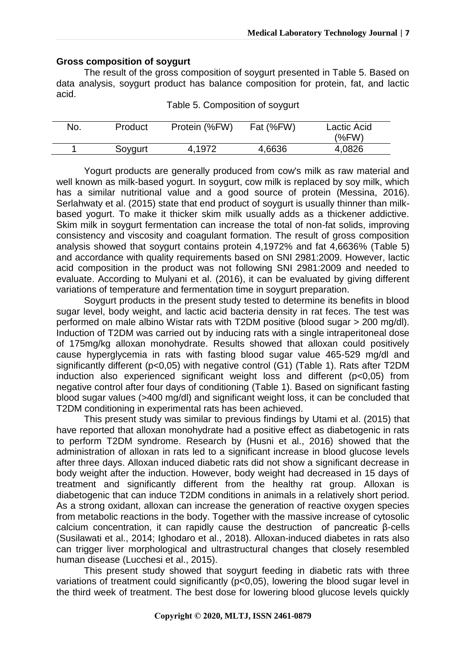#### **Gross composition of soygurt**

The result of the gross composition of soygurt presented in Table 5. Based on data analysis, soygurt product has balance composition for protein, fat, and lactic acid.

| No. | Product | Protein (%FW) | Fat (%FW) | Lactic Acid<br>$(\%FW)$ |
|-----|---------|---------------|-----------|-------------------------|
|     | Soygurt | 4.1972        | 4,6636    | 4,0826                  |

Table 5. Composition of soygurt

Yogurt products are generally produced from cow's milk as raw material and well known as milk-based yogurt. In soygurt, cow milk is replaced by soy milk, which has a similar nutritional value and a good source of protein (Messina, 2016). Serlahwaty et al. (2015) state that end product of soygurt is usually thinner than milkbased yogurt. To make it thicker skim milk usually adds as a thickener addictive. Skim milk in soygurt fermentation can increase the total of non-fat solids, improving consistency and viscosity and coagulant formation. The result of gross composition analysis showed that soygurt contains protein 4,1972% and fat 4,6636% (Table 5) and accordance with quality requirements based on SNI 2981:2009. However, lactic acid composition in the product was not following SNI 2981:2009 and needed to evaluate. According to Mulyani et al. (2016), it can be evaluated by giving different variations of temperature and fermentation time in soygurt preparation.

Soygurt products in the present study tested to determine its benefits in blood sugar level, body weight, and lactic acid bacteria density in rat feces. The test was performed on male albino Wistar rats with T2DM positive (blood sugar > 200 mg/dl). Induction of T2DM was carried out by inducing rats with a single intraperitoneal dose of 175mg/kg alloxan monohydrate. Results showed that alloxan could positively cause hyperglycemia in rats with fasting blood sugar value 465-529 mg/dl and significantly different (p<0,05) with negative control (G1) (Table 1). Rats after T2DM induction also experienced significant weight loss and different (p<0,05) from negative control after four days of conditioning (Table 1). Based on significant fasting blood sugar values (>400 mg/dl) and significant weight loss, it can be concluded that T2DM conditioning in experimental rats has been achieved.

This present study was similar to previous findings by Utami et al. (2015) that have reported that alloxan monohydrate had a positive effect as diabetogenic in rats to perform T2DM syndrome. Research by (Husni et al., 2016) showed that the administration of alloxan in rats led to a significant increase in blood glucose levels after three days. Alloxan induced diabetic rats did not show a significant decrease in body weight after the induction. However, body weight had decreased in 15 days of treatment and significantly different from the healthy rat group. Alloxan is diabetogenic that can induce T2DM conditions in animals in a relatively short period. As a strong oxidant, alloxan can increase the generation of reactive oxygen species from metabolic reactions in the body. Together with the massive increase of cytosolic calcium concentration, it can rapidly cause the destruction of pancreatic β-cells (Susilawati et al., 2014; Ighodaro et al., 2018). Alloxan-induced diabetes in rats also can trigger liver morphological and ultrastructural changes that closely resembled human disease (Lucchesi et al., 2015).

This present study showed that soygurt feeding in diabetic rats with three variations of treatment could significantly (p<0,05), lowering the blood sugar level in the third week of treatment. The best dose for lowering blood glucose levels quickly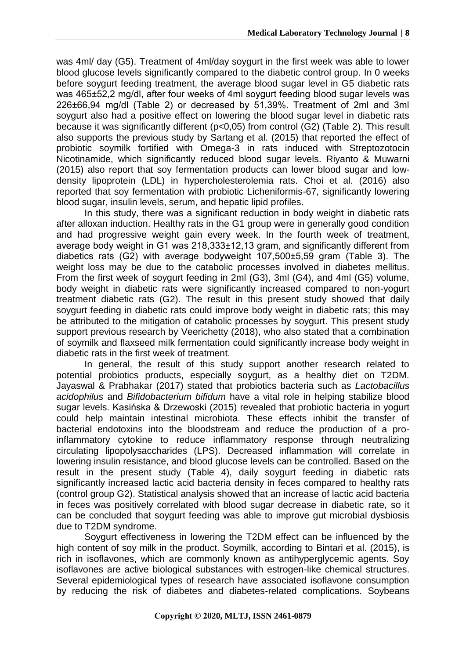was 4ml/ day (G5). Treatment of 4ml/day soygurt in the first week was able to lower blood glucose levels significantly compared to the diabetic control group. In 0 weeks before soygurt feeding treatment, the average blood sugar level in G5 diabetic rats was 465±52,2 mg/dl, after four weeks of 4ml soygurt feeding blood sugar levels was 226±66,94 mg/dl (Table 2) or decreased by 51,39%. Treatment of 2ml and 3ml soygurt also had a positive effect on lowering the blood sugar level in diabetic rats because it was significantly different (p<0,05) from control (G2) (Table 2). This result also supports the previous study by Sartang et al. (2015) that reported the effect of probiotic soymilk fortified with Omega-3 in rats induced with Streptozotocin Nicotinamide, which significantly reduced blood sugar levels. Riyanto & Muwarni (2015) also report that soy fermentation products can lower blood sugar and lowdensity lipoprotein (LDL) in hypercholesterolemia rats. Choi et al. (2016) also reported that soy fermentation with probiotic Licheniformis-67, significantly lowering blood sugar, insulin levels, serum, and hepatic lipid profiles.

In this study, there was a significant reduction in body weight in diabetic rats after alloxan induction. Healthy rats in the G1 group were in generally good condition and had progressive weight gain every week. In the fourth week of treatment, average body weight in G1 was 218,333±12,13 gram, and significantly different from diabetics rats (G2) with average bodyweight 107,500±5,59 gram (Table 3). The weight loss may be due to the catabolic processes involved in diabetes mellitus. From the first week of soygurt feeding in 2ml (G3), 3ml (G4), and 4ml (G5) volume, body weight in diabetic rats were significantly increased compared to non-yogurt treatment diabetic rats (G2). The result in this present study showed that daily soygurt feeding in diabetic rats could improve body weight in diabetic rats; this may be attributed to the mitigation of catabolic processes by soygurt. This present study support previous research by Veerichetty (2018), who also stated that a combination of soymilk and flaxseed milk fermentation could significantly increase body weight in diabetic rats in the first week of treatment.

In general, the result of this study support another research related to potential probiotics products, especially soygurt, as a healthy diet on T2DM. Jayaswal & Prabhakar (2017) stated that probiotics bacteria such as *Lactobacillus acidophilus* and *Bifidobacterium bifidum* have a vital role in helping stabilize blood sugar levels. Kasińska & Drzewoski (2015) revealed that probiotic bacteria in yogurt could help maintain intestinal microbiota. These effects inhibit the transfer of bacterial endotoxins into the bloodstream and reduce the production of a proinflammatory cytokine to reduce inflammatory response through neutralizing circulating lipopolysaccharides (LPS). Decreased inflammation will correlate in lowering insulin resistance, and blood glucose levels can be controlled. Based on the result in the present study (Table 4), daily soygurt feeding in diabetic rats significantly increased lactic acid bacteria density in feces compared to healthy rats (control group G2). Statistical analysis showed that an increase of lactic acid bacteria in feces was positively correlated with blood sugar decrease in diabetic rate, so it can be concluded that soygurt feeding was able to improve gut microbial dysbiosis due to T2DM syndrome.

Soygurt effectiveness in lowering the T2DM effect can be influenced by the high content of soy milk in the product. Soymilk, according to Bintari et al. (2015), is rich in isoflavones, which are commonly known as antihyperglycemic agents. Soy isoflavones are active biological substances with estrogen-like chemical structures. Several epidemiological types of research have associated isoflavone consumption by reducing the risk of diabetes and diabetes-related complications. Soybeans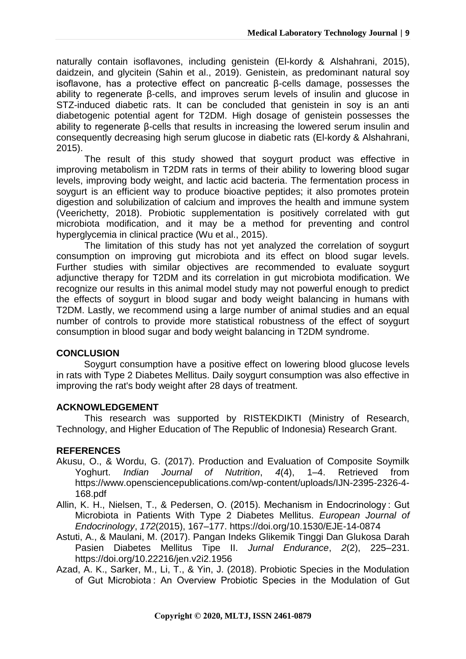naturally contain isoflavones, including genistein (El-kordy & Alshahrani, 2015), daidzein, and glycitein (Sahin et al., 2019). Genistein, as predominant natural soy isoflavone, has a protective effect on pancreatic β-cells damage, possesses the ability to regenerate β-cells, and improves serum levels of insulin and glucose in STZ-induced diabetic rats. It can be concluded that genistein in soy is an anti diabetogenic potential agent for T2DM. High dosage of genistein possesses the ability to regenerate β-cells that results in increasing the lowered serum insulin and consequently decreasing high serum glucose in diabetic rats (El-kordy & Alshahrani, 2015).

The result of this study showed that soygurt product was effective in improving metabolism in T2DM rats in terms of their ability to lowering blood sugar levels, improving body weight, and lactic acid bacteria. The fermentation process in soygurt is an efficient way to produce bioactive peptides; it also promotes protein digestion and solubilization of calcium and improves the health and immune system (Veerichetty, 2018). Probiotic supplementation is positively correlated with gut microbiota modification, and it may be a method for preventing and control hyperglycemia in clinical practice (Wu et al., 2015).

The limitation of this study has not yet analyzed the correlation of soygurt consumption on improving gut microbiota and its effect on blood sugar levels. Further studies with similar objectives are recommended to evaluate soygurt adjunctive therapy for T2DM and its correlation in gut microbiota modification. We recognize our results in this animal model study may not powerful enough to predict the effects of soygurt in blood sugar and body weight balancing in humans with T2DM. Lastly, we recommend using a large number of animal studies and an equal number of controls to provide more statistical robustness of the effect of soygurt consumption in blood sugar and body weight balancing in T2DM syndrome.

# **CONCLUSION**

Soygurt consumption have a positive effect on lowering blood glucose levels in rats with Type 2 Diabetes Mellitus. Daily soygurt consumption was also effective in improving the rat's body weight after 28 days of treatment.

### **ACKNOWLEDGEMENT**

This research was supported by RISTEKDIKTI (Ministry of Research, Technology, and Higher Education of The Republic of Indonesia) Research Grant.

# **REFERENCES**

- Akusu, O., & Wordu, G. (2017). Production and Evaluation of Composite Soymilk Yoghurt. *Indian Journal of Nutrition*, *4*(4), 1–4. Retrieved from https://www.opensciencepublications.com/wp-content/uploads/IJN-2395-2326-4- 168.pdf
- Allin, K. H., Nielsen, T., & Pedersen, O. (2015). Mechanism in Endocrinology : Gut Microbiota in Patients With Type 2 Diabetes Mellitus. *European Journal of Endocrinology*, *172*(2015), 167–177. https://doi.org/10.1530/EJE-14-0874
- Astuti, A., & Maulani, M. (2017). Pangan Indeks Glikemik Tinggi Dan Glukosa Darah Pasien Diabetes Mellitus Tipe II. *Jurnal Endurance*, *2*(2), 225–231. https://doi.org/10.22216/jen.v2i2.1956
- Azad, A. K., Sarker, M., Li, T., & Yin, J. (2018). Probiotic Species in the Modulation of Gut Microbiota : An Overview Probiotic Species in the Modulation of Gut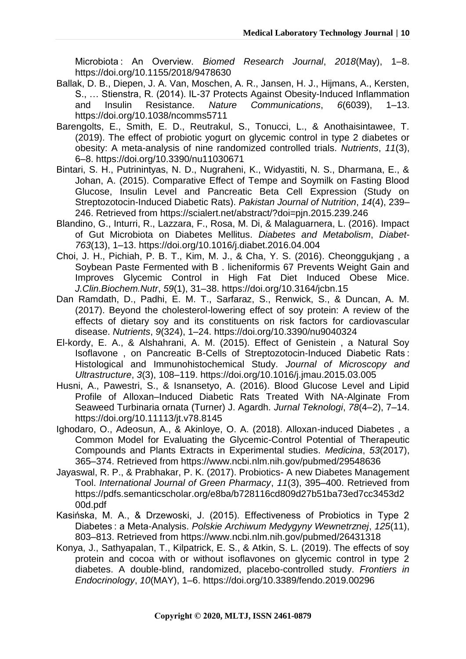Microbiota : An Overview. *Biomed Research Journal*, *2018*(May), 1–8. https://doi.org/10.1155/2018/9478630

- Ballak, D. B., Diepen, J. A. Van, Moschen, A. R., Jansen, H. J., Hijmans, A., Kersten, S., … Stienstra, R. (2014). IL-37 Protects Against Obesity-Induced Inflammation and Insulin Resistance. *Nature Communications*, *6*(6039), 1–13. https://doi.org/10.1038/ncomms5711
- Barengolts, E., Smith, E. D., Reutrakul, S., Tonucci, L., & Anothaisintawee, T. (2019). The effect of probiotic yogurt on glycemic control in type 2 diabetes or obesity: A meta-analysis of nine randomized controlled trials. *Nutrients*, *11*(3), 6–8. https://doi.org/10.3390/nu11030671
- Bintari, S. H., Putrinintyas, N. D., Nugraheni, K., Widyastiti, N. S., Dharmana, E., & Johan, A. (2015). Comparative Effect of Tempe and Soymilk on Fasting Blood Glucose, Insulin Level and Pancreatic Beta Cell Expression (Study on Streptozotocin-Induced Diabetic Rats). *Pakistan Journal of Nutrition*, *14*(4), 239– 246. Retrieved from https://scialert.net/abstract/?doi=pjn.2015.239.246
- Blandino, G., Inturri, R., Lazzara, F., Rosa, M. Di, & Malaguarnera, L. (2016). Impact of Gut Microbiota on Diabetes Mellitus. *Diabetes and Metabolism*, *Diabet*-*763*(13), 1–13. https://doi.org/10.1016/j.diabet.2016.04.004
- Choi, J. H., Pichiah, P. B. T., Kim, M. J., & Cha, Y. S. (2016). Cheonggukjang , a Soybean Paste Fermented with B . licheniformis 67 Prevents Weight Gain and Improves Glycemic Control in High Fat Diet Induced Obese Mice. *J.Clin.Biochem.Nutr*, *59*(1), 31–38. https://doi.org/10.3164/jcbn.15
- Dan Ramdath, D., Padhi, E. M. T., Sarfaraz, S., Renwick, S., & Duncan, A. M. (2017). Beyond the cholesterol-lowering effect of soy protein: A review of the effects of dietary soy and its constituents on risk factors for cardiovascular disease. *Nutrients*, *9*(324), 1–24. https://doi.org/10.3390/nu9040324
- El-kordy, E. A., & Alshahrani, A. M. (2015). Effect of Genistein , a Natural Soy Isoflavone , on Pancreatic B-Cells of Streptozotocin-Induced Diabetic Rats : Histological and Immunohistochemical Study. *Journal of Microscopy and Ultrastructure*, *3*(3), 108–119. https://doi.org/10.1016/j.jmau.2015.03.005
- Husni, A., Pawestri, S., & Isnansetyo, A. (2016). Blood Glucose Level and Lipid Profile of Alloxan–Induced Diabetic Rats Treated With NA-Alginate From Seaweed Turbinaria ornata (Turner) J. Agardh. *Jurnal Teknologi*, *78*(4–2), 7–14. https://doi.org/10.11113/jt.v78.8145
- Ighodaro, O., Adeosun, A., & Akinloye, O. A. (2018). Alloxan-induced Diabetes , a Common Model for Evaluating the Glycemic-Control Potential of Therapeutic Compounds and Plants Extracts in Experimental studies. *Medicina*, *53*(2017), 365–374. Retrieved from https://www.ncbi.nlm.nih.gov/pubmed/29548636
- Jayaswal, R. P., & Prabhakar, P. K. (2017). Probiotics- A new Diabetes Management Tool. *International Journal of Green Pharmacy*, *11*(3), 395–400. Retrieved from https://pdfs.semanticscholar.org/e8ba/b728116cd809d27b51ba73ed7cc3453d2 00d.pdf
- Kasińska, M. A., & Drzewoski, J. (2015). Effectiveness of Probiotics in Type 2 Diabetes : a Meta-Analysis. *Polskie Archiwum Medygyny Wewnetrznej*, *125*(11), 803–813. Retrieved from https://www.ncbi.nlm.nih.gov/pubmed/26431318
- Konya, J., Sathyapalan, T., Kilpatrick, E. S., & Atkin, S. L. (2019). The effects of soy protein and cocoa with or without isoflavones on glycemic control in type 2 diabetes. A double-blind, randomized, placebo-controlled study. *Frontiers in Endocrinology*, *10*(MAY), 1–6. https://doi.org/10.3389/fendo.2019.00296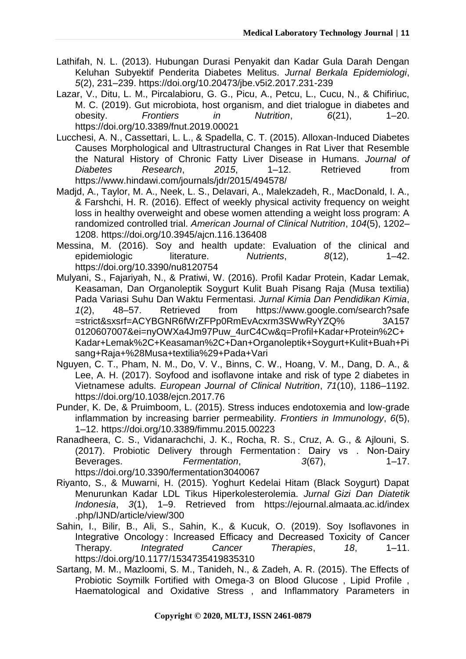- Lathifah, N. L. (2013). Hubungan Durasi Penyakit dan Kadar Gula Darah Dengan Keluhan Subyektif Penderita Diabetes Melitus. *Jurnal Berkala Epidemiologi*, *5*(2), 231–239. https://doi.org/10.20473/jbe.v5i2.2017.231-239
- Lazar, V., Ditu, L. M., Pircalabioru, G. G., Picu, A., Petcu, L., Cucu, N., & Chifiriuc, M. C. (2019). Gut microbiota, host organism, and diet trialogue in diabetes and obesity. *Frontiers in Nutrition*, *6*(21), 1–20. https://doi.org/10.3389/fnut.2019.00021
- Lucchesi, A. N., Cassettari, L. L., & Spadella, C. T. (2015). Alloxan-Induced Diabetes Causes Morphological and Ultrastructural Changes in Rat Liver that Resemble the Natural History of Chronic Fatty Liver Disease in Humans. *Journal of Diabetes Research*, *2015*, 1–12. Retrieved from https://www.hindawi.com/journals/jdr/2015/494578/
- Madjd, A., Taylor, M. A., Neek, L. S., Delavari, A., Malekzadeh, R., MacDonald, I. A., & Farshchi, H. R. (2016). Effect of weekly physical activity frequency on weight loss in healthy overweight and obese women attending a weight loss program: A randomized controlled trial. *American Journal of Clinical Nutrition*, *104*(5), 1202– 1208. https://doi.org/10.3945/ajcn.116.136408
- Messina, M. (2016). Soy and health update: Evaluation of the clinical and epidemiologic literature. *Nutrients*, *8*(12), 1–42. https://doi.org/10.3390/nu8120754
- Mulyani, S., Fajariyah, N., & Pratiwi, W. (2016). Profil Kadar Protein, Kadar Lemak, Keasaman, Dan Organoleptik Soygurt Kulit Buah Pisang Raja (Musa textilia) Pada Variasi Suhu Dan Waktu Fermentasi. *Jurnal Kimia Dan Pendidikan Kimia*, *1*(2), 48–57. Retrieved from https://www.google.com/search?safe =strict&sxsrf=ACYBGNR6fWrZFPp0RmEvAcxrm3SWwRyYZQ% 3A157 0120607007&ei=nyOWXa4Jm97Puw\_4urC4Cw&q=Profil+Kadar+Protein%2C+ Kadar+Lemak%2C+Keasaman%2C+Dan+Organoleptik+Soygurt+Kulit+Buah+Pi sang+Raja+%28Musa+textilia%29+Pada+Vari
- Nguyen, C. T., Pham, N. M., Do, V. V., Binns, C. W., Hoang, V. M., Dang, D. A., & Lee, A. H. (2017). Soyfood and isoflavone intake and risk of type 2 diabetes in Vietnamese adults. *European Journal of Clinical Nutrition*, *71*(10), 1186–1192. https://doi.org/10.1038/ejcn.2017.76
- Punder, K. De, & Pruimboom, L. (2015). Stress induces endotoxemia and low-grade inflammation by increasing barrier permeability. *Frontiers in Immunology*, *6*(5), 1–12. https://doi.org/10.3389/fimmu.2015.00223
- Ranadheera, C. S., Vidanarachchi, J. K., Rocha, R. S., Cruz, A. G., & Ajlouni, S. (2017). Probiotic Delivery through Fermentation : Dairy vs . Non-Dairy Beverages. *Fermentation*, *3*(67), 1–17. https://doi.org/10.3390/fermentation3040067
- Riyanto, S., & Muwarni, H. (2015). Yoghurt Kedelai Hitam (Black Soygurt) Dapat Menurunkan Kadar LDL Tikus Hiperkolesterolemia. *Jurnal Gizi Dan Diatetik Indonesia*, *3*(1), 1–9. Retrieved from https://ejournal.almaata.ac.id/index .php/IJND/article/view/300
- Sahin, I., Bilir, B., Ali, S., Sahin, K., & Kucuk, O. (2019). Soy Isoflavones in Integrative Oncology : Increased Efficacy and Decreased Toxicity of Cancer Therapy. *Integrated Cancer Therapies*, *18*, 1–11. https://doi.org/10.1177/1534735419835310
- Sartang, M. M., Mazloomi, S. M., Tanideh, N., & Zadeh, A. R. (2015). The Effects of Probiotic Soymilk Fortified with Omega-3 on Blood Glucose , Lipid Profile , Haematological and Oxidative Stress , and Inflammatory Parameters in